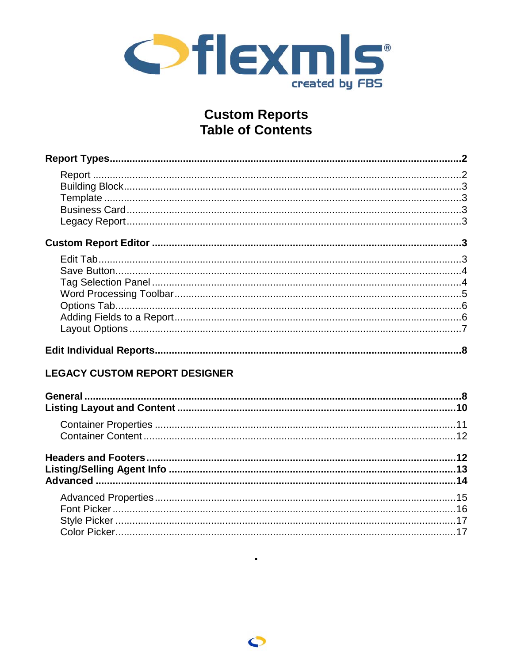

# **Custom Reports Table of Contents**

| <b>LEGACY CUSTOM REPORT DESIGNER</b> |  |
|--------------------------------------|--|
|                                      |  |
|                                      |  |
|                                      |  |
|                                      |  |
|                                      |  |
|                                      |  |
|                                      |  |
|                                      |  |
|                                      |  |
|                                      |  |
|                                      |  |

 $\blacksquare$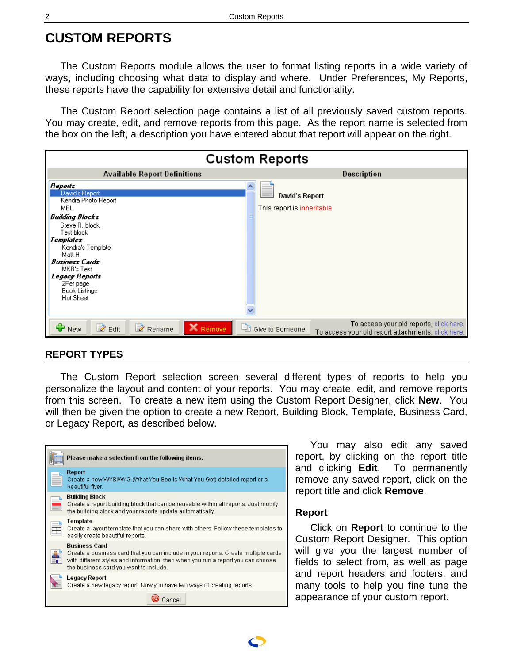# <span id="page-1-0"></span>**CUSTOM REPORTS**

The Custom Reports module allows the user to format listing reports in a wide variety of ways, including choosing what data to display and where. Under Preferences, My Reports, these reports have the capability for extensive detail and functionality.

The Custom Report selection page contains a list of all previously saved custom reports. You may create, edit, and remove reports from this page. As the report name is selected from the box on the left, a description you have entered about that report will appear on the right.

| <b>Custom Reports</b>                                                                                                                                                                                                                                                    |                                                                                                                  |  |  |
|--------------------------------------------------------------------------------------------------------------------------------------------------------------------------------------------------------------------------------------------------------------------------|------------------------------------------------------------------------------------------------------------------|--|--|
| <b>Available Report Definitions</b>                                                                                                                                                                                                                                      | Description                                                                                                      |  |  |
| <b>Reports</b><br>David's Report<br>Kendra Photo Report<br>MEL<br><b>Building Blocks</b><br>Steve R. block<br>Test block<br>Templates<br>Kendra's Template<br>Matt H<br><b>Business Cards</b><br>MKB's Test<br>Legacy Reports<br>2Per page<br>Book Listings<br>Hot Sheet | David's Report<br>This report is inheritable                                                                     |  |  |
| $\geq$ Edit<br>Rename<br><b>X</b> Remove<br>Ļ٦<br><b>New</b>                                                                                                                                                                                                             | To access your old reports, click here.<br>Give to Someone<br>To access your old report attachments, click here. |  |  |

#### **REPORT TYPES**

The Custom Report selection screen several different types of reports to help you personalize the layout and content of your reports. You may create, edit, and remove reports from this screen. To create a new item using the Custom Report Designer, click **New**. You will then be given the option to create a new Report, Building Block, Template, Business Card, or Legacy Report, as described below.

| Please make a selection from the following items.                                                                                                                                                                                 |
|-----------------------------------------------------------------------------------------------------------------------------------------------------------------------------------------------------------------------------------|
| Report<br>Create a new WYSIWYG (What You See Is What You Get) detailed report or a<br>beautiful flyer.                                                                                                                            |
| Building Block<br>Create a report building block that can be reusable within all reports. Just modify<br>the building block and your reports update automatically.                                                                |
| Template<br>Create a layout template that you can share with others. Follow these templates to<br>easily create beautiful reports.                                                                                                |
| Business Card<br>Create a business card that you can include in your reports. Create multiple cards<br>with different styles and information, then when you run a report you can choose<br>the business card you want to include. |
| Legacy Report<br>Create a new legacy report. Now you have two ways of creating reports.                                                                                                                                           |
| Cancel                                                                                                                                                                                                                            |

You may also edit any saved report, by clicking on the report title and clicking **Edit**. To permanently remove any saved report, click on the report title and click **Remove**.

#### **Report**

Click on **Report** to continue to the Custom Report Designer. This option will give you the largest number of fields to select from, as well as page and report headers and footers, and many tools to help you fine tune the appearance of your custom report.

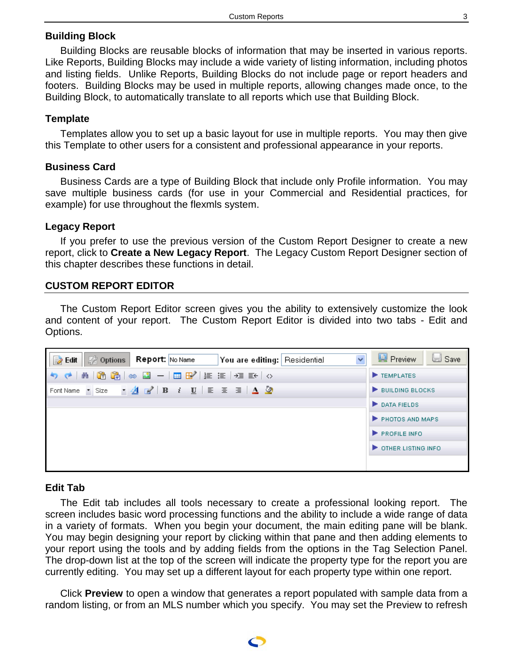## <span id="page-2-0"></span>**Building Block**

Building Blocks are reusable blocks of information that may be inserted in various reports. Like Reports, Building Blocks may include a wide variety of listing information, including photos and listing fields. Unlike Reports, Building Blocks do not include page or report headers and footers. Building Blocks may be used in multiple reports, allowing changes made once, to the Building Block, to automatically translate to all reports which use that Building Block.

## **Template**

Templates allow you to set up a basic layout for use in multiple reports. You may then give this Template to other users for a consistent and professional appearance in your reports.

### **Business Card**

Business Cards are a type of Building Block that include only Profile information. You may save multiple business cards (for use in your Commercial and Residential practices, for example) for use throughout the flexmls system.

### **Legacy Report**

If you prefer to use the previous version of the Custom Report Designer to create a new report, click to **Create a New Legacy Report**. The Legacy Custom Report Designer section of this chapter describes these functions in detail.

### **CUSTOM REPORT EDITOR**

The Custom Report Editor screen gives you the ability to extensively customize the look and content of your report. The Custom Report Editor is divided into two tabs - Edit and Options.

| $\Rightarrow$ Edit<br>$\ddotmark$<br>Se Options ।<br><b>Report:</b> No Name<br>You are editing: Residential                                                              | Preview<br><b>Save</b> |
|--------------------------------------------------------------------------------------------------------------------------------------------------------------------------|------------------------|
|                                                                                                                                                                          | TEMPLATES              |
| Font Name $\bullet$ Size $\bullet$ $\underline{A}$ $\underline{B}$ <b>B</b> $i$ $\underline{U}$ $\equiv$ $\underline{E}$ $\underline{B}$ $\underline{A}$ $\underline{O}$ | BUILDING BLOCKS        |
|                                                                                                                                                                          | DATA FIELDS            |
|                                                                                                                                                                          | PHOTOS AND MAPS        |
|                                                                                                                                                                          | PROFILE INFO.          |
|                                                                                                                                                                          | OTHER LISTING INFO.    |
|                                                                                                                                                                          |                        |

### **Edit Tab**

The Edit tab includes all tools necessary to create a professional looking report. The screen includes basic word processing functions and the ability to include a wide range of data in a variety of formats. When you begin your document, the main editing pane will be blank. You may begin designing your report by clicking within that pane and then adding elements to your report using the tools and by adding fields from the options in the Tag Selection Panel. The drop-down list at the top of the screen will indicate the property type for the report you are currently editing. You may set up a different layout for each property type within one report.

Click **Preview** to open a window that generates a report populated with sample data from a random listing, or from an MLS number which you specify. You may set the Preview to refresh

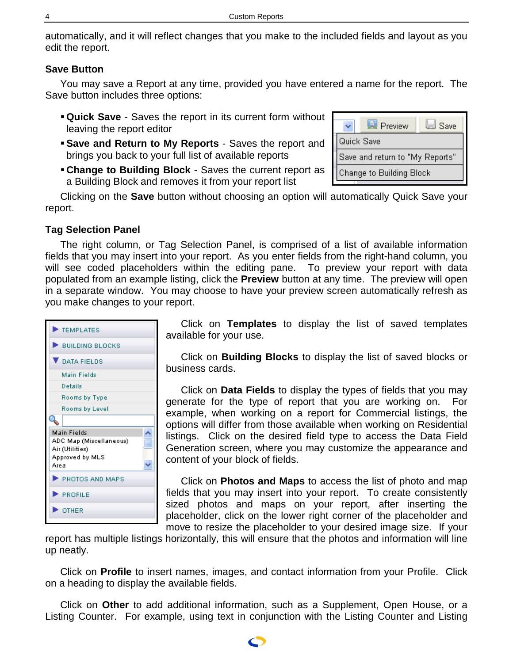<span id="page-3-0"></span>automatically, and it will reflect changes that you make to the included fields and layout as you edit the report.

## **Save Button**

You may save a Report at any time, provided you have entered a name for the report. The Save button includes three options:

- **Quick Save** Saves the report in its current form without leaving the report editor
- **Save and Return to My Reports** Saves the report and brings you back to your full list of available reports
- **Change to Building Block** Saves the current report as a Building Block and removes it from your report list

Clicking on the **Save** button without choosing an option will automatically Quick Save your report.

## **Tag Selection Panel**

The right column, or Tag Selection Panel, is comprised of a list of available information fields that you may insert into your report. As you enter fields from the right-hand column, you will see coded placeholders within the editing pane. To preview your report with data populated from an example listing, click the **Preview** button at any time. The preview will open in a separate window. You may choose to have your preview screen automatically refresh as you make changes to your report.



Click on **Templates** to display the list of saved templates available for your use.

Click on **Building Blocks** to display the list of saved blocks or business cards.

Click on **Data Fields** to display the types of fields that you may generate for the type of report that you are working on. For example, when working on a report for Commercial listings, the options will differ from those available when working on Residential listings. Click on the desired field type to access the Data Field Generation screen, where you may customize the appearance and content of your block of fields.

Click on **Photos and Maps** to access the list of photo and map fields that you may insert into your report. To create consistently sized photos and maps on your report, after inserting the placeholder, click on the lower right corner of the placeholder and move to resize the placeholder to your desired image size. If your

report has multiple listings horizontally, this will ensure that the photos and information will line up neatly.

Click on **Profile** to insert names, images, and contact information from your Profile. Click on a heading to display the available fields.

Click on **Other** to add additional information, such as a Supplement, Open House, or a Listing Counter. For example, using text in conjunction with the Listing Counter and Listing

|                                 | <b>国</b> Preview | Save |
|---------------------------------|------------------|------|
| Quick Save                      |                  |      |
| Save and return to "My Reports" |                  |      |
| Change to Building Block        |                  |      |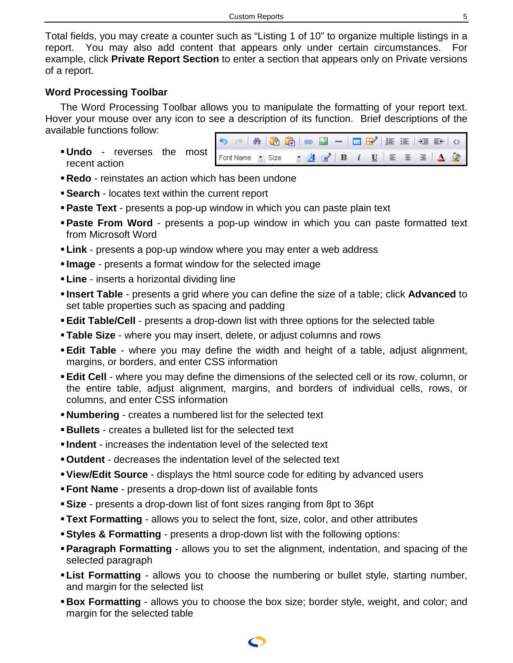<span id="page-4-0"></span>Total fields, you may create a counter such as "Listing 1 of 10" to organize multiple listings in a report. You may also add content that appears only under certain circumstances. For example, click **Private Report Section** to enter a section that appears only on Private versions of a report.

## **Word Processing Toolbar**

The Word Processing Toolbar allows you to manipulate the formatting of your report text. Hover your mouse over any icon to see a description of its function. Brief descriptions of the available functions follow:

**Undo** - reverses the most recent action

|  | $\begin{array}{c} \begin{array}{c} \bullet \end{array} & \begin{array}{c} \bullet \\ \end{array} & \begin{array}{c} \bullet \\ \end{array} & \begin{array}{c} \bullet \\ \end{array} & \begin{array}{c} \bullet \\ \end{array} & \begin{array}{c} \bullet \\ \end{array} & \begin{array}{c} \bullet \\ \end{array} & \begin{array}{c} \bullet \\ \end{array} & \begin{array}{c} \bullet \\ \end{array} & \begin{array}{c} \bullet \\ \end{array} & \begin{array}{c} \bullet \\ \end{array} & \begin{array}{c} \bullet \\ \end{array} & \begin{array}{c} \bullet \\ \end{array} & \begin{array}{c$ |  |
|--|---------------------------------------------------------------------------------------------------------------------------------------------------------------------------------------------------------------------------------------------------------------------------------------------------------------------------------------------------------------------------------------------------------------------------------------------------------------------------------------------------------------------------------------------------------------------------------------------------|--|
|  | Font Name $\bullet$ Size $\bullet$ $\underline{A}$ a $\bullet$ <b>B</b> $i$ <b>U</b> $\vert \equiv \equiv \equiv \vert \underline{A} \vert \underline{\Diamond}$                                                                                                                                                                                                                                                                                                                                                                                                                                  |  |

- **Redo** reinstates an action which has been undone
- **Search** locates text within the current report
- **Paste Text** presents a pop-up window in which you can paste plain text
- **Paste From Word** presents a pop-up window in which you can paste formatted text from Microsoft Word
- **Link** presents a pop-up window where you may enter a web address
- **Image** presents a format window for the selected image
- **Line**  inserts a horizontal dividing line
- **Insert Table** presents a grid where you can define the size of a table; click **Advanced** to set table properties such as spacing and padding
- **Edit Table/Cell** presents a drop-down list with three options for the selected table
- **Table Size** where you may insert, delete, or adjust columns and rows
- **Edit Table** where you may define the width and height of a table, adjust alignment, margins, or borders, and enter CSS information
- **Edit Cell** where you may define the dimensions of the selected cell or its row, column, or the entire table, adjust alignment, margins, and borders of individual cells, rows, or columns, and enter CSS information
- **Numbering** creates a numbered list for the selected text
- **Bullets** creates a bulleted list for the selected text
- **Indent** increases the indentation level of the selected text
- **Outdent** decreases the indentation level of the selected text
- **View/Edit Source** displays the html source code for editing by advanced users
- **Font Name** presents a drop-down list of available fonts
- **Size** presents a drop-down list of font sizes ranging from 8pt to 36pt
- **Text Formatting** allows you to select the font, size, color, and other attributes
- **Styles & Formatting** presents a drop-down list with the following options:
- **Paragraph Formatting** allows you to set the alignment, indentation, and spacing of the selected paragraph
- **List Formatting** allows you to choose the numbering or bullet style, starting number, and margin for the selected list
- **Box Formatting** allows you to choose the box size; border style, weight, and color; and margin for the selected table

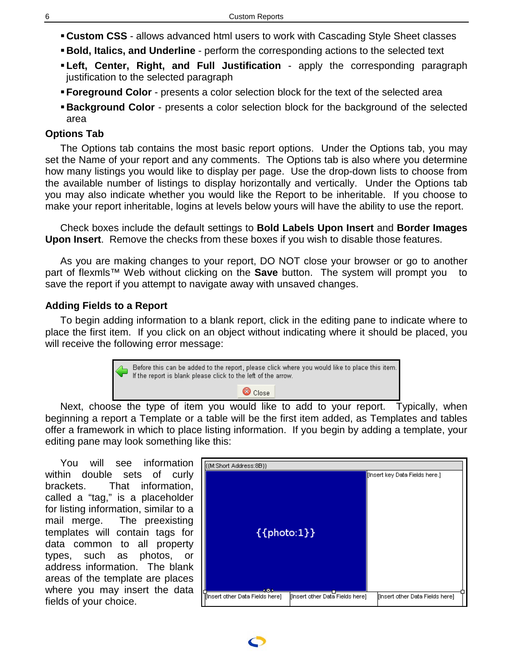- **Custom CSS** allows advanced html users to work with Cascading Style Sheet classes
- **Bold, Italics, and Underline** perform the corresponding actions to the selected text
- **Left, Center, Right, and Full Justification** apply the corresponding paragraph justification to the selected paragraph
- **Foreground Color** presents a color selection block for the text of the selected area
- **Background Color** presents a color selection block for the background of the selected area

## **Options Tab**

The Options tab contains the most basic report options. Under the Options tab, you may set the Name of your report and any comments. The Options tab is also where you determine how many listings you would like to display per page. Use the drop-down lists to choose from the available number of listings to display horizontally and vertically. Under the Options tab you may also indicate whether you would like the Report to be inheritable. If you choose to make your report inheritable, logins at levels below yours will have the ability to use the report.

Check boxes include the default settings to **Bold Labels Upon Insert** and **Border Images Upon Insert**. Remove the checks from these boxes if you wish to disable those features.

As you are making changes to your report, DO NOT close your browser or go to another part of flexmls<sup>™</sup> Web without clicking on the **Save** button. The system will prompt you to save the report if you attempt to navigate away with unsaved changes.

## **Adding Fields to a Report**

To begin adding information to a blank report, click in the editing pane to indicate where to place the first item. If you click on an object without indicating where it should be placed, you will receive the following error message:



Next, choose the type of item you would like to add to your report. Typically, when beginning a report a Template or a table will be the first item added, as Templates and tables offer a framework in which to place listing information. If you begin by adding a template, your editing pane may look something like this:

You will see information within double sets of curly brackets. That information, called a "tag," is a placeholder for listing information, similar to a mail merge. The preexisting templates will contain tags for data common to all property types, such as photos, or address information. The blank areas of the template are places where you may insert the data fields of your choice.



<span id="page-5-0"></span>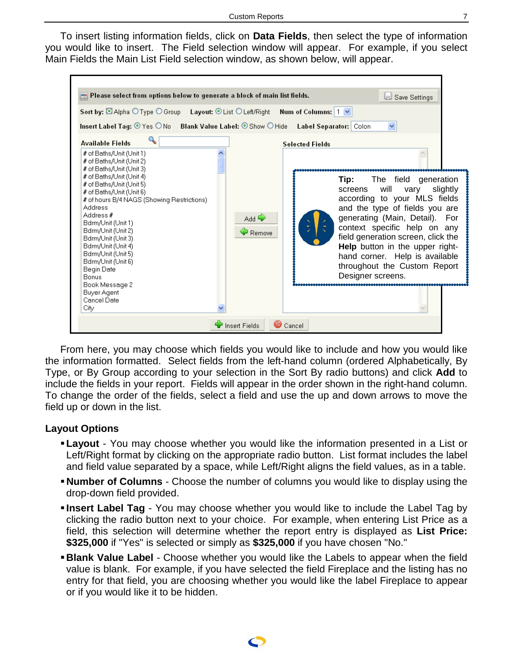<span id="page-6-0"></span>To insert listing information fields, click on **Data Fields**, then select the type of information you would like to insert. The Field selection window will appear. For example, if you select Main Fields the Main List Field selection window, as shown below, will appear.



From here, you may choose which fields you would like to include and how you would like the information formatted. Select fields from the left-hand column (ordered Alphabetically, By Type, or By Group according to your selection in the Sort By radio buttons) and click **Add** to include the fields in your report. Fields will appear in the order shown in the right-hand column. To change the order of the fields, select a field and use the up and down arrows to move the field up or down in the list.

### **Layout Options**

- **Layout** You may choose whether you would like the information presented in a List or Left/Right format by clicking on the appropriate radio button. List format includes the label and field value separated by a space, while Left/Right aligns the field values, as in a table.
- **Number of Columns** Choose the number of columns you would like to display using the drop-down field provided.
- **Insert Label Tag** You may choose whether you would like to include the Label Tag by clicking the radio button next to your choice. For example, when entering List Price as a field, this selection will determine whether the report entry is displayed as **List Price: \$325,000** if "Yes" is selected or simply as **\$325,000** if you have chosen "No."
- **Blank Value Label** Choose whether you would like the Labels to appear when the field value is blank. For example, if you have selected the field Fireplace and the listing has no entry for that field, you are choosing whether you would like the label Fireplace to appear or if you would like it to be hidden.

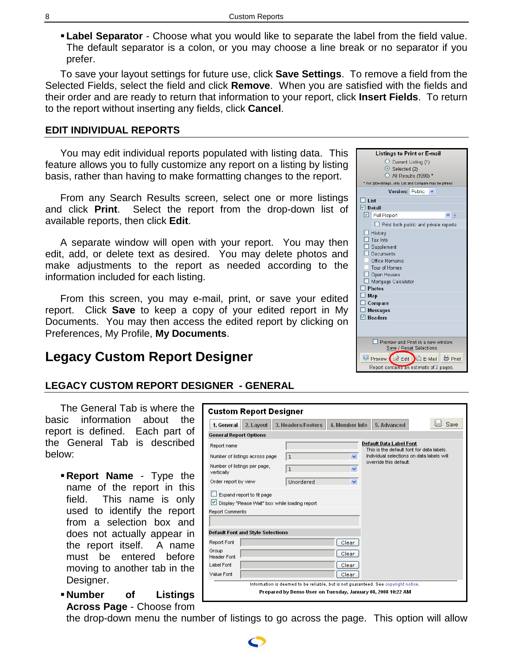**Label Separator** - Choose what you would like to separate the label from the field value. The default separator is a colon, or you may choose a line break or no separator if you prefer.

To save your layout settings for future use, click **Save Settings**. To remove a field from the Selected Fields, select the field and click **Remove**. When you are satisfied with the fields and their order and are ready to return that information to your report, click **Insert Fields**. To return to the report without inserting any fields, click **Cancel**.

### **EDIT INDIVIDUAL REPORTS**

You may edit individual reports populated with listing data. This feature allows you to fully customize any report on a listing by listing basis, rather than having to make formatting changes to the report.

From any Search Results screen, select one or more listings and click **Print**. Select the report from the drop-down list of available reports, then click **Edit**.

A separate window will open with your report. You may then edit, add, or delete text as desired. You may delete photos and make adjustments to the report as needed according to the information included for each listing.

From this screen, you may e-mail, print, or save your edited report. Click **Save** to keep a copy of your edited report in My Documents. You may then access the edited report by clicking on Preferences, My Profile, **My Documents**.

# **Legacy Custom Report Designer**

# **LEGACY CUSTOM REPORT DESIGNER - GENERAL**

The General Tab is where the basic information about the report is defined. Each part of the General Tab is described below:

- **Report Name** Type the name of the report in this field. This name is only used to identify the report from a selection box and does not actually appear in the report itself. A name must be entered before moving to another tab in the Designer.
- **Number of Listings Across Page** - Choose from

**General Report Options Default Data Label Font** Report name This is the default font for data labels Individual selections on data labels will Number of listings across page  $\vert$  1  $\overline{\mathbf{v}}$ override this default. Number of listings per page,  $\overline{1}$  $\overline{\mathbf{v}}$ vertically Order report by view Unordered  $\overline{\mathbf{v}}$ Expand report to fit page Display "Please Wait" box while loading report Report Comments **Default Font and Style Selections** Report Font  $\lceil$  Clear Group  $[$  Clear  $]$ Header Font Label Font Clear Value Font Clear Information is deemed to be reliable, but is not guaranteed. See copyright notice. Prepared by Demo User on Tuesday, January 08, 2008 10:22 AM

1. General 2. Layout 3. Headers/Footers 4. Member Info 5. Advanced



**Save** 

<span id="page-7-0"></span>



**Custom Report Designer**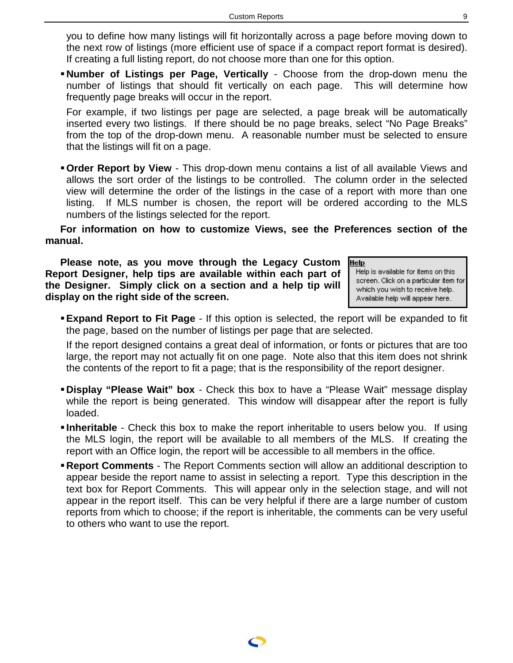you to define how many listings will fit horizontally across a page before moving down to the next row of listings (more efficient use of space if a compact report format is desired). If creating a full listing report, do not choose more than one for this option.

**Number of Listings per Page, Vertically** - Choose from the drop-down menu the number of listings that should fit vertically on each page. This will determine how frequently page breaks will occur in the report.

For example, if two listings per page are selected, a page break will be automatically inserted every two listings. If there should be no page breaks, select "No Page Breaks" from the top of the drop-down menu. A reasonable number must be selected to ensure that the listings will fit on a page.

**Order Report by View** - This drop-down menu contains a list of all available Views and allows the sort order of the listings to be controlled. The column order in the selected view will determine the order of the listings in the case of a report with more than one listing. If MLS number is chosen, the report will be ordered according to the MLS numbers of the listings selected for the report.

**For information on how to customize Views, see the Preferences section of the manual.** 

**Please note, as you move through the Legacy Custom Report Designer, help tips are available within each part of the Designer. Simply click on a section and a help tip will display on the right side of the screen.** 

Help Help is available for items on this screen. Click on a particular item for which you wish to receive help. Available help will appear here.

**Expand Report to Fit Page** - If this option is selected, the report will be expanded to fit the page, based on the number of listings per page that are selected.

If the report designed contains a great deal of information, or fonts or pictures that are too large, the report may not actually fit on one page. Note also that this item does not shrink the contents of the report to fit a page; that is the responsibility of the report designer.

- **Display "Please Wait" box**  Check this box to have a "Please Wait" message display while the report is being generated. This window will disappear after the report is fully loaded.
- **Inheritable** Check this box to make the report inheritable to users below you. If using the MLS login, the report will be available to all members of the MLS. If creating the report with an Office login, the report will be accessible to all members in the office.
- **Report Comments** The Report Comments section will allow an additional description to appear beside the report name to assist in selecting a report. Type this description in the text box for Report Comments. This will appear only in the selection stage, and will not appear in the report itself. This can be very helpful if there are a large number of custom reports from which to choose; if the report is inheritable, the comments can be very useful to others who want to use the report.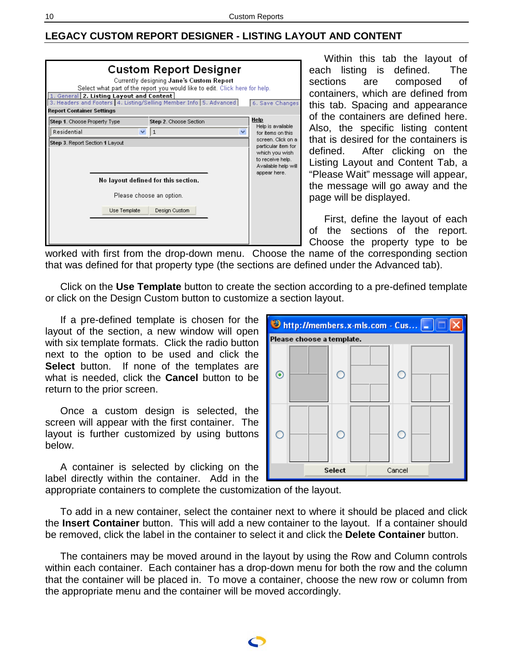### <span id="page-9-0"></span>**LEGACY CUSTOM REPORT DESIGNER - LISTING LAYOUT AND CONTENT**

| <b>Custom Report Designer</b><br>Currently designing Jane's Custom Report<br>Select what part of the report you would like to edit. Click here for help.<br>1. General 2. Listing Layout and Content<br>3. Headers and Footers 4. Listing/Selling Member Info 5. Advanced<br>6. Save Changes<br><b>Report Container Settings</b> |                                     |                        |                                                                                                  |  |
|----------------------------------------------------------------------------------------------------------------------------------------------------------------------------------------------------------------------------------------------------------------------------------------------------------------------------------|-------------------------------------|------------------------|--------------------------------------------------------------------------------------------------|--|
| Step 1. Choose Property Type                                                                                                                                                                                                                                                                                                     |                                     | Step 2. Choose Section | Help<br>Help is available                                                                        |  |
| Residential                                                                                                                                                                                                                                                                                                                      | $\checkmark$                        | 1                      | for items on this<br>screen. Click on a                                                          |  |
| Step 3. Report Section 1 Layout                                                                                                                                                                                                                                                                                                  |                                     |                        | particular item for<br>which you wish<br>to receive help.<br>Available help will<br>appear here. |  |
|                                                                                                                                                                                                                                                                                                                                  | No layout defined for this section. |                        |                                                                                                  |  |
|                                                                                                                                                                                                                                                                                                                                  | Please choose an option.            |                        |                                                                                                  |  |
|                                                                                                                                                                                                                                                                                                                                  | Use Template                        | Design Custom          |                                                                                                  |  |
|                                                                                                                                                                                                                                                                                                                                  |                                     |                        |                                                                                                  |  |

Within this tab the layout of each listing is defined. The sections are composed of containers, which are defined from this tab. Spacing and appearance of the containers are defined here. Also, the specific listing content that is desired for the containers is defined. After clicking on the Listing Layout and Content Tab, a "Please Wait" message will appear, the message will go away and the page will be displayed.

First, define the layout of each of the sections of the report. Choose the property type to be

worked with first from the drop-down menu. Choose the name of the corresponding section that was defined for that property type (the sections are defined under the Advanced tab).

Click on the **Use Template** button to create the section according to a pre-defined template or click on the Design Custom button to customize a section layout.

If a pre-defined template is chosen for the layout of the section, a new window will open with six template formats. Click the radio button next to the option to be used and click the **Select** button. If none of the templates are what is needed, click the **Cancel** button to be return to the prior screen.

Once a custom design is selected, the screen will appear with the first container. The layout is further customized by using buttons below.

A container is selected by clicking on the label directly within the container. Add in the



appropriate containers to complete the customization of the layout.

To add in a new container, select the container next to where it should be placed and click the **Insert Container** button. This will add a new container to the layout. If a container should be removed, click the label in the container to select it and click the **Delete Container** button.

The containers may be moved around in the layout by using the Row and Column controls within each container. Each container has a drop-down menu for both the row and the column that the container will be placed in. To move a container, choose the new row or column from the appropriate menu and the container will be moved accordingly.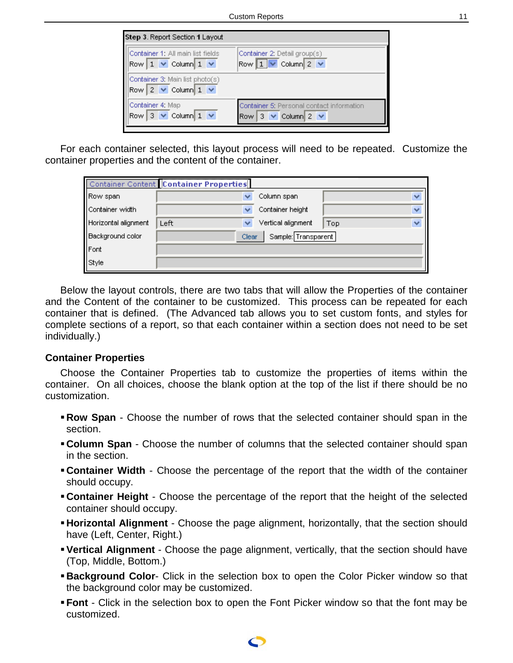<span id="page-10-0"></span>

| Step 3. Report Section 1 Layout                                   |                                                                                     |
|-------------------------------------------------------------------|-------------------------------------------------------------------------------------|
| Container 1: All main list fields<br>Row $1 \vee$ Column $1 \vee$ | Container 2: Detail group(s)<br>Row $1 \vee$ Column 2 $\vee$                        |
| Container 3: Main list photo(s)<br>$Row 2 \vee Column 1 \vee$     |                                                                                     |
| Container 4: Map<br>Row 3 $\vee$ Column 1 $\vee$                  | Container 5: Personal contact information<br>$3 \vee$ Column $2 \vee$<br><b>Row</b> |

For each container selected, this layout process will need to be repeated. Customize the container properties and the content of the container.

|                      | Container Content Container Properties |                    |                                |
|----------------------|----------------------------------------|--------------------|--------------------------------|
| Row span             |                                        | Column span        |                                |
| Container width      |                                        | Container height   | $\overline{\mathbf{v}}$        |
| Horizontal alignment | Left                                   | Vertical alignment | $\overline{\mathbf{v}}$<br>Top |
| Background color     | Sample: Transparent<br>Clear           |                    |                                |
| Font                 |                                        |                    |                                |
| Style                |                                        |                    |                                |

Below the layout controls, there are two tabs that will allow the Properties of the container and the Content of the container to be customized. This process can be repeated for each container that is defined. (The Advanced tab allows you to set custom fonts, and styles for complete sections of a report, so that each container within a section does not need to be set individually.)

### **Container Properties**

Choose the Container Properties tab to customize the properties of items within the container. On all choices, choose the blank option at the top of the list if there should be no customization.

- **Row Span** Choose the number of rows that the selected container should span in the section.
- **Column Span** Choose the number of columns that the selected container should span in the section.
- **Container Width** Choose the percentage of the report that the width of the container should occupy.
- **Container Height** Choose the percentage of the report that the height of the selected container should occupy.
- **Horizontal Alignment** Choose the page alignment, horizontally, that the section should have (Left, Center, Right.)
- **Vertical Alignment** Choose the page alignment, vertically, that the section should have (Top, Middle, Bottom.)
- **Background Color-** Click in the selection box to open the Color Picker window so that the background color may be customized.
- **Font** Click in the selection box to open the Font Picker window so that the font may be customized.

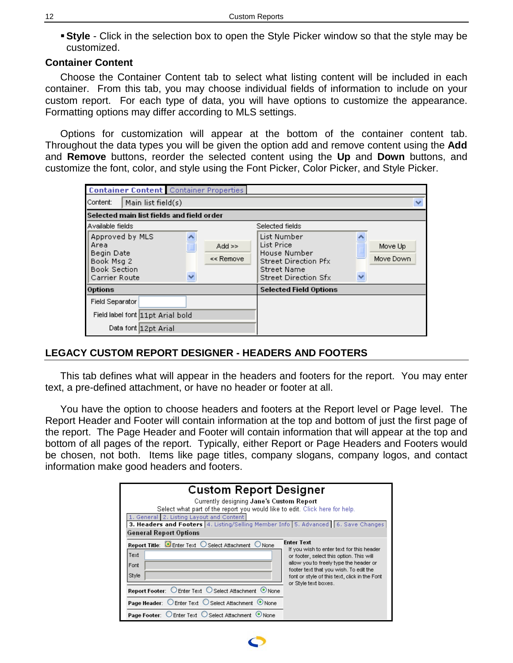<span id="page-11-0"></span>**Style** - Click in the selection box to open the Style Picker window so that the style may be customized.

## **Container Content**

Choose the Container Content tab to select what listing content will be included in each container. From this tab, you may choose individual fields of information to include on your custom report. For each type of data, you will have options to customize the appearance. Formatting options may differ according to MLS settings.

Options for customization will appear at the bottom of the container content tab. Throughout the data types you will be given the option add and remove content using the **Add** and **Remove** buttons, reorder the selected content using the **Up** and **Down** buttons, and customize the font, color, and style using the Font Picker, Color Picker, and Style Picker.

| <b>Container Content</b> Container Properties                                               |                              |                                                                                                                 |                           |
|---------------------------------------------------------------------------------------------|------------------------------|-----------------------------------------------------------------------------------------------------------------|---------------------------|
| Content:<br>Main list field(s)                                                              |                              |                                                                                                                 |                           |
| Selected main list fields and field order                                                   |                              |                                                                                                                 |                           |
| Available fields                                                                            |                              | Selected fields                                                                                                 |                           |
| Approved by MLS<br>Area<br>Begin Date<br>Book Msg 2<br><b>Book Section</b><br>Carrier Route | $Add \geq$<br>Ξ<br><< Remove | List Number<br>List Price<br>House Number<br>Street Direction Pfx<br>Street Name<br><b>Street Direction Sfx</b> | Move Up<br>Move Down<br>× |
| Options                                                                                     |                              | <b>Selected Field Options</b>                                                                                   |                           |
| <b>Field Separator</b>                                                                      |                              |                                                                                                                 |                           |
| Field label font 11pt Arial bold                                                            |                              |                                                                                                                 |                           |
| Data font 12pt Arial                                                                        |                              |                                                                                                                 |                           |

## **LEGACY CUSTOM REPORT DESIGNER - HEADERS AND FOOTERS**

This tab defines what will appear in the headers and footers for the report. You may enter text, a pre-defined attachment, or have no header or footer at all.

You have the option to choose headers and footers at the Report level or Page level. The Report Header and Footer will contain information at the top and bottom of just the first page of the report. The Page Header and Footer will contain information that will appear at the top and bottom of all pages of the report. Typically, either Report or Page Headers and Footers would be chosen, not both. Items like page titles, company slogans, company logos, and contact information make good headers and footers.

| <b>Custom Report Designer</b>                                                            |                                                                                  |  |  |
|------------------------------------------------------------------------------------------|----------------------------------------------------------------------------------|--|--|
| Currently designing Jane's Custom Report                                                 |                                                                                  |  |  |
| 1. General 2. Listing Layout and Content                                                 | Select what part of the report you would like to edit. Click here for help.      |  |  |
| <b>3. Headers and Footers</b> 4. Listing/Selling Member Info 5. Advanced 6. Save Changes |                                                                                  |  |  |
| <b>General Report Options</b>                                                            |                                                                                  |  |  |
| Report Title: <b>C.</b> Enter Text O Select Attachment O None                            | <b>Enter Text</b><br>If you wish to enter text for this header                   |  |  |
| Text                                                                                     | or footer, select this option. This will                                         |  |  |
| Font                                                                                     | allow you to freely type the header or<br>footer text that you wish. To edit the |  |  |
| Style                                                                                    | font or style of this text, click in the Font                                    |  |  |
| <b>Report Footer:</b> ○ Enter Text ○ Select Attachment ● None                            | or Style text boxes.                                                             |  |  |
| Page Header: ○ Enter Text ○ Select Attachment ● None                                     |                                                                                  |  |  |
| Page Footer: CEnter Text CSelect Attachment ONone                                        |                                                                                  |  |  |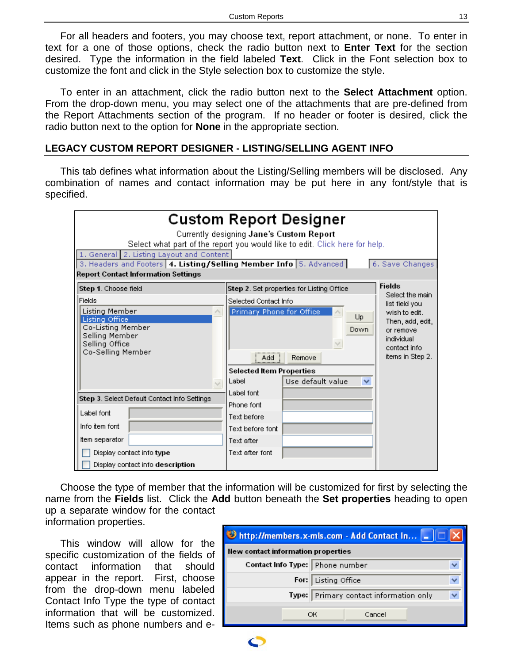<span id="page-12-0"></span>For all headers and footers, you may choose text, report attachment, or none. To enter in text for a one of those options, check the radio button next to **Enter Text** for the section desired. Type the information in the field labeled **Text**. Click in the Font selection box to customize the font and click in the Style selection box to customize the style.

To enter in an attachment, click the radio button next to the **Select Attachment** option. From the drop-down menu, you may select one of the attachments that are pre-defined from the Report Attachments section of the program. If no header or footer is desired, click the radio button next to the option for **None** in the appropriate section.

### **LEGACY CUSTOM REPORT DESIGNER - LISTING/SELLING AGENT INFO**

This tab defines what information about the Listing/Selling members will be disclosed. Any combination of names and contact information may be put here in any font/style that is specified.

| <b>Custom Report Designer</b><br>Currently designing Jane's Custom Report<br>Select what part of the report you would like to edit. Click here for help.<br>1. General 2. Listing Layout and Content<br>3. Headers and Footers 4. Listing/Selling Member Info 5. Advanced<br>6. Save Changes<br><b>Report Contact Information Settings</b> |                                                                                                                                                                   |                                                                                                                    |  |
|--------------------------------------------------------------------------------------------------------------------------------------------------------------------------------------------------------------------------------------------------------------------------------------------------------------------------------------------|-------------------------------------------------------------------------------------------------------------------------------------------------------------------|--------------------------------------------------------------------------------------------------------------------|--|
| Step 1. Choose field                                                                                                                                                                                                                                                                                                                       | Step 2. Set properties for Listing Office                                                                                                                         | <b>Fields</b><br>Select the main                                                                                   |  |
| <b>Fields</b><br>Listing Member<br>Listing Office<br>Co-Listing Member<br>Selling Member<br>Selling Office<br>Co-Selling Member<br>$\checkmark$                                                                                                                                                                                            | Selected Contact Info<br>Primary Phone for Office<br>Up<br>Down<br>Remove<br>Add<br><b>Selected Item Properties</b><br>Label<br>Use default value<br>$\checkmark$ | list field you<br>wish to edit.<br>Then, add, edit,<br>or remove<br>individual<br>contact info<br>items in Step 2. |  |
| Step 3. Select Default Contact Info Settings                                                                                                                                                                                                                                                                                               | Label font<br>Phone font                                                                                                                                          |                                                                                                                    |  |
| Label font                                                                                                                                                                                                                                                                                                                                 | Text before                                                                                                                                                       |                                                                                                                    |  |
| Info item font                                                                                                                                                                                                                                                                                                                             | Text before font                                                                                                                                                  |                                                                                                                    |  |
| Item separator                                                                                                                                                                                                                                                                                                                             | Text after                                                                                                                                                        |                                                                                                                    |  |
| Display contact info type                                                                                                                                                                                                                                                                                                                  | Text after font                                                                                                                                                   |                                                                                                                    |  |
| Display contact info description                                                                                                                                                                                                                                                                                                           |                                                                                                                                                                   |                                                                                                                    |  |

Choose the type of member that the information will be customized for first by selecting the name from the **Fields** list. Click the **Add** button beneath the **Set properties** heading to open up a separate window for the contact information properties.

This window will allow for the specific customization of the fields of contact information that should appear in the report. First, choose from the drop-down menu labeled Contact Info Type the type of contact information that will be customized. Items such as phone numbers and e-

| D http://members.x-mls.com - Add Contact In |                                 |                                        |  |  |  |  |
|---------------------------------------------|---------------------------------|----------------------------------------|--|--|--|--|
| New contact information properties          |                                 |                                        |  |  |  |  |
|                                             | Contact Info Type: Phone number |                                        |  |  |  |  |
|                                             |                                 | For: Listing Office                    |  |  |  |  |
|                                             |                                 | Type: Primary contact information only |  |  |  |  |
|                                             | ОK                              | Cancel                                 |  |  |  |  |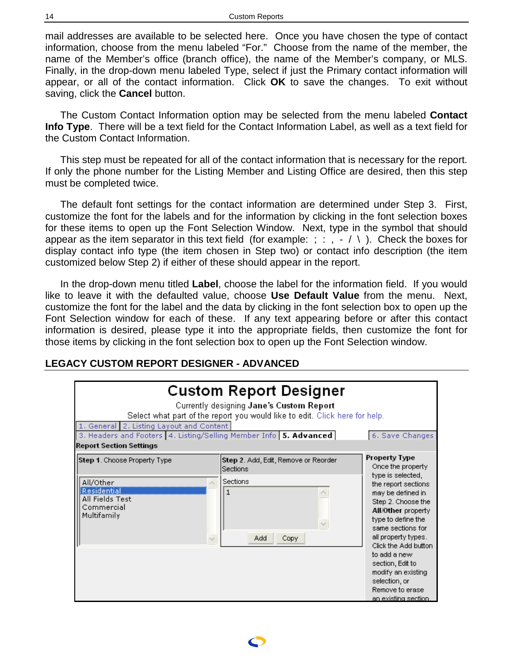<span id="page-13-0"></span>mail addresses are available to be selected here. Once you have chosen the type of contact information, choose from the menu labeled "For." Choose from the name of the member, the name of the Member's office (branch office), the name of the Member's company, or MLS. Finally, in the drop-down menu labeled Type, select if just the Primary contact information will appear, or all of the contact information. Click **OK** to save the changes. To exit without saving, click the **Cancel** button.

The Custom Contact Information option may be selected from the menu labeled **Contact Info Type**. There will be a text field for the Contact Information Label, as well as a text field for the Custom Contact Information.

This step must be repeated for all of the contact information that is necessary for the report. If only the phone number for the Listing Member and Listing Office are desired, then this step must be completed twice.

The default font settings for the contact information are determined under Step 3. First, customize the font for the labels and for the information by clicking in the font selection boxes for these items to open up the Font Selection Window. Next, type in the symbol that should appear as the item separator in this text field (for example: ; : ,  $-$  / \). Check the boxes for display contact info type (the item chosen in Step two) or contact info description (the item customized below Step 2) if either of these should appear in the report.

In the drop-down menu titled **Label**, choose the label for the information field. If you would like to leave it with the defaulted value, choose **Use Default Value** from the menu. Next, customize the font for the label and the data by clicking in the font selection box to open up the Font Selection window for each of these. If any text appearing before or after this contact information is desired, please type it into the appropriate fields, then customize the font for those items by clicking in the font selection box to open up the Font Selection window.

# **LEGACY CUSTOM REPORT DESIGNER - ADVANCED**

| <b>Custom Report Designer</b><br>Currently designing Jane's Custom Report<br>Select what part of the report you would like to edit. Click here for help.<br>1. General 2. Listing Layout and Content<br>3. Headers and Footers 4. Listing/Selling Member Info 5. Advanced<br>6. Save Changes<br><b>Report Section Settings</b> |                                                                                            |                                                                                                                                                                                                                                                                                                            |  |  |  |
|--------------------------------------------------------------------------------------------------------------------------------------------------------------------------------------------------------------------------------------------------------------------------------------------------------------------------------|--------------------------------------------------------------------------------------------|------------------------------------------------------------------------------------------------------------------------------------------------------------------------------------------------------------------------------------------------------------------------------------------------------------|--|--|--|
| <b>Step 1.</b> Choose Property Type<br>All/Other<br>Residential<br>All Fields Test<br>Commercial<br>Multifamily<br>$\checkmark$                                                                                                                                                                                                | Step 2. Add, Edit, Remove or Reorder<br>Sections<br>Sections<br>1<br>$\sim$<br>Add<br>Copy | <b>Property Type</b><br>Once the property<br>type is selected,<br>the report sections<br>may be defined in<br>Step 2. Choose the<br>All/Other property<br>type to define the<br>same sections for<br>all property types.<br>Click the Add button<br>to add a new<br>section, Edit to<br>modify an existing |  |  |  |
|                                                                                                                                                                                                                                                                                                                                |                                                                                            | selection, or<br>Remove to erase<br>an existing section                                                                                                                                                                                                                                                    |  |  |  |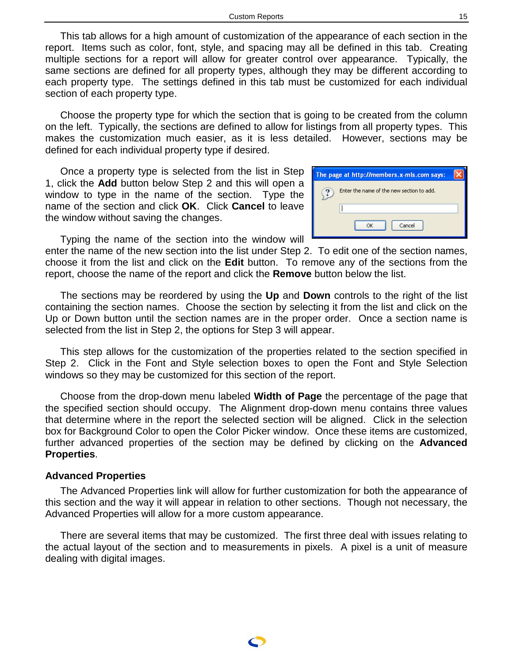<span id="page-14-0"></span>This tab allows for a high amount of customization of the appearance of each section in the report. Items such as color, font, style, and spacing may all be defined in this tab. Creating multiple sections for a report will allow for greater control over appearance. Typically, the same sections are defined for all property types, although they may be different according to each property type. The settings defined in this tab must be customized for each individual section of each property type.

Choose the property type for which the section that is going to be created from the column on the left. Typically, the sections are defined to allow for listings from all property types. This makes the customization much easier, as it is less detailed. However, sections may be defined for each individual property type if desired.

Once a property type is selected from the list in Step 1, click the **Add** button below Step 2 and this will open a window to type in the name of the section. Type the name of the section and click **OK**. Click **Cancel** to leave the window without saving the changes.

Typing the name of the section into the window will

enter the name of the new section into the list under Step 2. To edit one of the section names, choose it from the list and click on the **Edit** button. To remove any of the sections from the report, choose the name of the report and click the **Remove** button below the list.

The sections may be reordered by using the **Up** and **Down** controls to the right of the list containing the section names. Choose the section by selecting it from the list and click on the Up or Down button until the section names are in the proper order. Once a section name is selected from the list in Step 2, the options for Step 3 will appear.

This step allows for the customization of the properties related to the section specified in Step 2. Click in the Font and Style selection boxes to open the Font and Style Selection windows so they may be customized for this section of the report.

Choose from the drop-down menu labeled **Width of Page** the percentage of the page that the specified section should occupy. The Alignment drop-down menu contains three values that determine where in the report the selected section will be aligned. Click in the selection box for Background Color to open the Color Picker window. Once these items are customized, further advanced properties of the section may be defined by clicking on the **Advanced Properties**.

#### **Advanced Properties**

The Advanced Properties link will allow for further customization for both the appearance of this section and the way it will appear in relation to other sections. Though not necessary, the Advanced Properties will allow for a more custom appearance.

There are several items that may be customized. The first three deal with issues relating to the actual layout of the section and to measurements in pixels. A pixel is a unit of measure dealing with digital images.

| The page at http://members.x-mls.com says: |  |
|--------------------------------------------|--|
| Enter the name of the new section to add.  |  |
|                                            |  |
| Cancel<br>OK                               |  |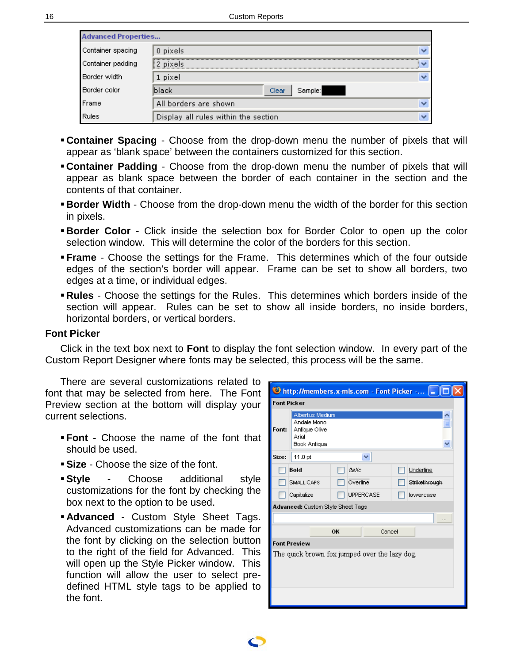<span id="page-15-0"></span>

| <b>Advanced Properties</b> |                                      |  |  |  |
|----------------------------|--------------------------------------|--|--|--|
| Container spacing          | 0 pixels                             |  |  |  |
| Container padding          | 2 pixels<br>$\checkmark$             |  |  |  |
| Border width               | 1 pixel                              |  |  |  |
| Border color               | lblack<br>Sample:<br>Clear           |  |  |  |
| Frame                      | All borders are shown                |  |  |  |
| Rules                      | Display all rules within the section |  |  |  |

- **Container Spacing** Choose from the drop-down menu the number of pixels that will appear as 'blank space' between the containers customized for this section.
- **Container Padding** Choose from the drop-down menu the number of pixels that will appear as blank space between the border of each container in the section and the contents of that container.
- **Border Width** Choose from the drop-down menu the width of the border for this section in pixels.
- **Border Color** Click inside the selection box for Border Color to open up the color selection window. This will determine the color of the borders for this section.
- **Frame** Choose the settings for the Frame. This determines which of the four outside edges of the section's border will appear. Frame can be set to show all borders, two edges at a time, or individual edges.
- **Rules** Choose the settings for the Rules. This determines which borders inside of the section will appear. Rules can be set to show all inside borders, no inside borders, horizontal borders, or vertical borders.

### **Font Picker**

Click in the text box next to **Font** to display the font selection window. In every part of the Custom Report Designer where fonts may be selected, this process will be the same.

There are several customizations related to font that may be selected from here. The Font Preview section at the bottom will display your current selections.

- **Font** Choose the name of the font that should be used.
- **Size** Choose the size of the font.
- **Style** Choose additional style customizations for the font by checking the box next to the option to be used.
- **Advanced** Custom Style Sheet Tags. Advanced customizations can be made for the font by clicking on the selection button to the right of the field for Advanced. This will open up the Style Picker window. This function will allow the user to select predefined HTML style tags to be applied to the font.

|                                               | D http://members.x-mls.com - Font Picker -  _                                   |               |                  |  |               |  |  |  |
|-----------------------------------------------|---------------------------------------------------------------------------------|---------------|------------------|--|---------------|--|--|--|
|                                               | <b>Font Picker</b>                                                              |               |                  |  |               |  |  |  |
| Font:                                         | Albertus Medium<br>Andale Mono<br>Antique Olive<br>Arial<br><b>Book Antiqua</b> |               |                  |  |               |  |  |  |
| Size:                                         | 11.0 pt                                                                         |               | ₩                |  |               |  |  |  |
|                                               | Bold                                                                            | <b>Italic</b> |                  |  | Underline     |  |  |  |
|                                               | SMALL CAPS                                                                      |               | Overline         |  | Strikethrough |  |  |  |
|                                               | Capitalize                                                                      |               | <b>UPPERCASE</b> |  | lowercase     |  |  |  |
|                                               | Advanced: Custom Style Sheet Tags                                               |               |                  |  |               |  |  |  |
|                                               |                                                                                 |               |                  |  |               |  |  |  |
|                                               | OK<br>Cancel                                                                    |               |                  |  |               |  |  |  |
|                                               | <b>Font Preview</b>                                                             |               |                  |  |               |  |  |  |
| The quick brown fox jumped over the lazy dog. |                                                                                 |               |                  |  |               |  |  |  |
|                                               |                                                                                 |               |                  |  |               |  |  |  |